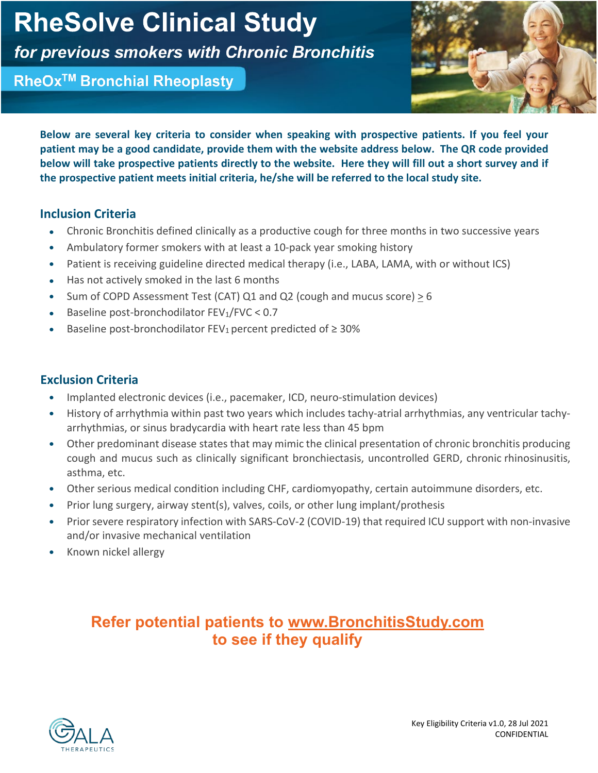# **RheSolve Clinical Study**

for previous smokers with Chronic Bronchitis

RheOx<sup>™</sup> Bronchial Rheoplasty



**Below are several key criteria to consider when speaking with prospective patients. If you feel your patient may be a good candidate, provide them with the website address below. The QR code provided below will take prospective patients directly to the website. Here they will fill out a short survey and if the prospective patient meets initial criteria, he/she will be referred to the local study site.** 

## **Inclusion Criteria**

- Chronic Bronchitis defined clinically as a productive cough for three months in two successive years
- Ambulatory former smokers with at least a 10-pack year smoking history
- Patient is receiving guideline directed medical therapy (i.e., LABA, LAMA, with or without ICS)
- Has not actively smoked in the last 6 months
- Sum of COPD Assessment Test (CAT) Q1 and Q2 (cough and mucus score) > 6
- Baseline post-bronchodilator  $FEV<sub>1</sub>/FVC < 0.7$
- Baseline post-bronchodilator FEV<sub>1</sub> percent predicted of  $\geq$  30%

## **Exclusion Criteria**

- Implanted electronic devices (i.e., pacemaker, ICD, neuro-stimulation devices)
- History of arrhythmia within past two years which includes tachy-atrial arrhythmias, any ventricular tachyarrhythmias, or sinus bradycardia with heart rate less than 45 bpm
- Other predominant disease states that may mimic the clinical presentation of chronic bronchitis producing cough and mucus such as clinically significant bronchiectasis, uncontrolled GERD, chronic rhinosinusitis, asthma, etc.
- Other serious medical condition including CHF, cardiomyopathy, certain autoimmune disorders, etc.
- Prior lung surgery, airway stent(s), valves, coils, or other lung implant/prothesis
- Prior severe respiratory infection with SARS-CoV-2 (COVID-19) that required ICU support with non-invasive and/or invasive mechanical ventilation
- Known nickel allergy

# **Refer potential patients to [www.BronchitisStudy.com](http://www.bronchitisstudy.com/) to see if they qualify**